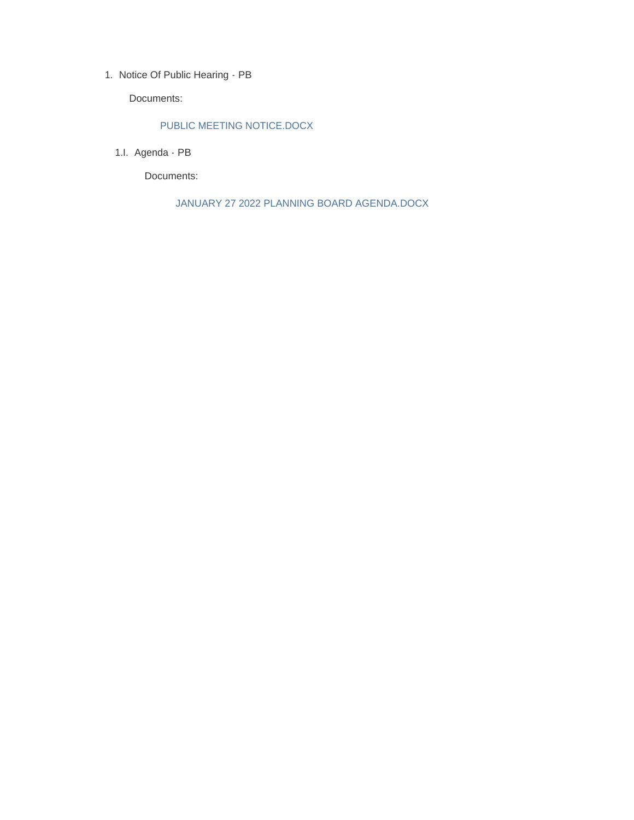1. Notice Of Public Hearing - PB

Documents:

## PUBLIC MEETING NOTICE.DOCX

1.I. Agenda - PB

Documents:

JANUARY 27 2022 PLANNING BOARD AGENDA.DOCX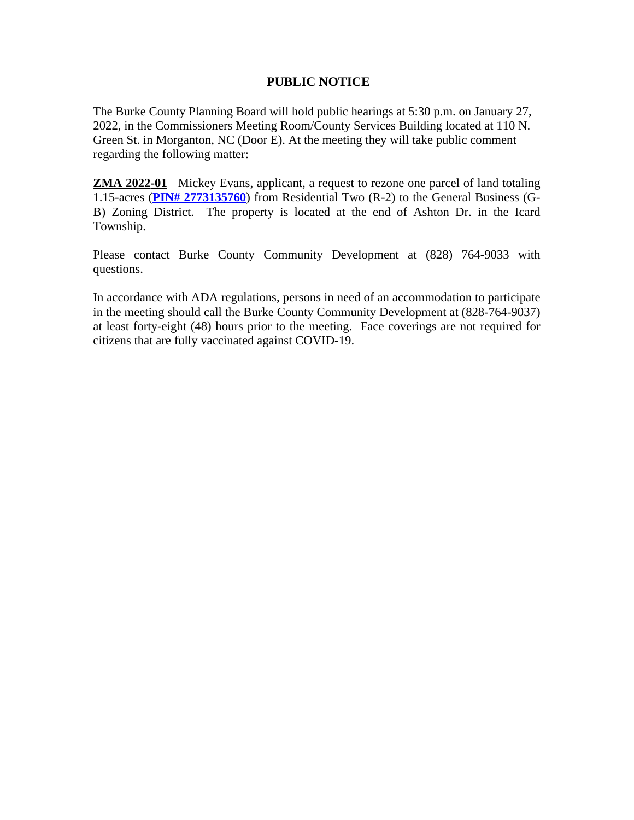## **PUBLIC NOTICE**

The Burke County Planning Board will hold public hearings at 5:30 p.m. on January 27, 2022, in the Commissioners Meeting Room/County Services Building located at 110 N. Green St. in Morganton, NC (Door E). At the meeting they will take public comment regarding the following matter:

**ZMA 2022-01** Mickey Evans, applicant, a request to rezone one parcel of land totaling 1.15-acres (**[PIN# 2773135760](https://gis.burkenc.org/default.htm?PIN=2773135760)**) from Residential Two (R-2) to the General Business (G-B) Zoning District. The property is located at the end of Ashton Dr. in the Icard Township.

Please contact Burke County Community Development at (828) 764-9033 with questions.

In accordance with ADA regulations, persons in need of an accommodation to participate in the meeting should call the Burke County Community Development at (828-764-9037) at least forty-eight (48) hours prior to the meeting. Face coverings are not required for citizens that are fully vaccinated against COVID-19.